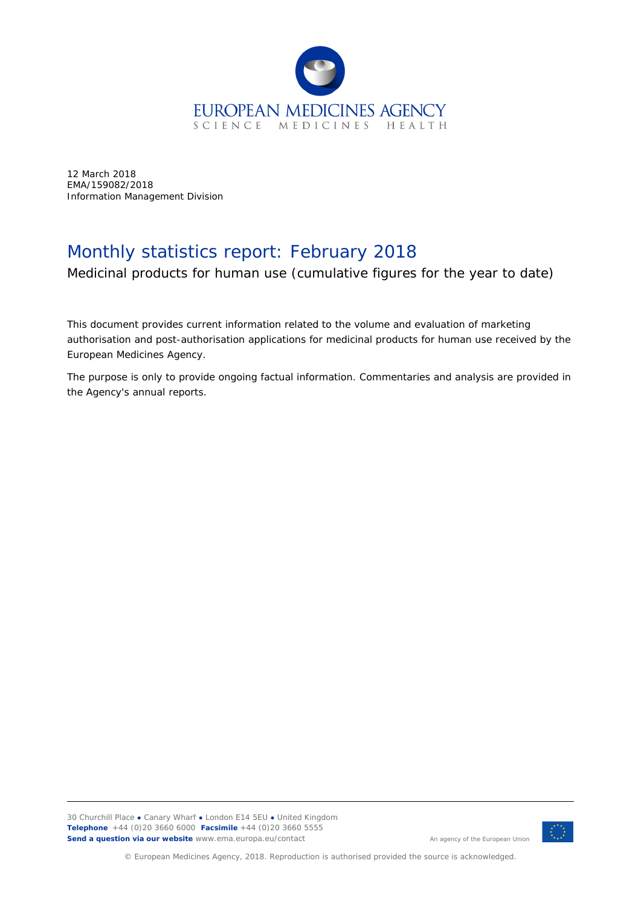

12 March 2018 EMA/159082/2018 Information Management Division

## Monthly statistics report: February 2018

Medicinal products for human use (cumulative figures for the year to date)

This document provides current information related to the volume and evaluation of marketing authorisation and post-authorisation applications for medicinal products for human use received by the European Medicines Agency.

The purpose is only to provide ongoing factual information. Commentaries and analysis are provided in the Agency's annual reports.



© European Medicines Agency, 2018. Reproduction is authorised provided the source is acknowledged.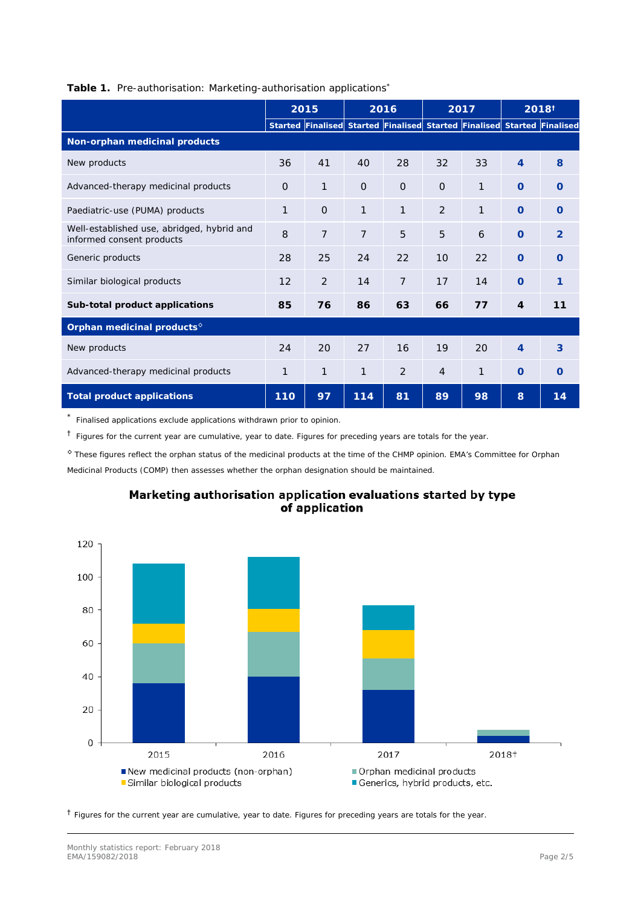|  | Table 1. Pre-authorisation: Marketing-authorisation applications* |  |
|--|-------------------------------------------------------------------|--|

|                                                                         | 2015     |                | 2016           |                                                                         | 2017           |              | 2018 <sup>†</sup> |               |
|-------------------------------------------------------------------------|----------|----------------|----------------|-------------------------------------------------------------------------|----------------|--------------|-------------------|---------------|
|                                                                         |          |                |                | Started Finalised Started Finalised Started Finalised Started Finalised |                |              |                   |               |
| Non-orphan medicinal products                                           |          |                |                |                                                                         |                |              |                   |               |
| New products                                                            | 36       | 41             | 40             | 28                                                                      | 32             | 33           | $\overline{4}$    | 8             |
| Advanced-therapy medicinal products                                     | $\Omega$ | $\mathbf{1}$   | $\Omega$       | $\overline{O}$                                                          | $\Omega$       | $\mathbf{1}$ | $\Omega$          | $\Omega$      |
| Paediatric-use (PUMA) products                                          | 1        | $\Omega$       | $\mathbf{1}$   | $\mathbf{1}$                                                            | 2              | $\mathbf{1}$ | $\Omega$          | $\Omega$      |
| Well-established use, abridged, hybrid and<br>informed consent products | 8        | $\overline{7}$ | $\overline{7}$ | 5                                                                       | 5              | 6            | $\Omega$          | $\mathcal{P}$ |
| Generic products                                                        | 28       | 25             | 24             | 22                                                                      | 10             | 22           | $\Omega$          | $\Omega$      |
| Similar biological products                                             | 12       | 2              | 14             | $\overline{7}$                                                          | 17             | 14           | $\Omega$          | 1             |
| Sub-total product applications                                          | 85       | 76             | 86             | 63                                                                      | 66             | 77           | $\overline{4}$    | 11            |
| Orphan medicinal products <sup>®</sup>                                  |          |                |                |                                                                         |                |              |                   |               |
| New products                                                            | 24       | 20             | 27             | 16                                                                      | 19             | 20           | $\overline{4}$    | 3             |
| Advanced-therapy medicinal products                                     | 1        | $\mathbf 1$    | 1              | 2                                                                       | $\overline{4}$ | 1            | $\overline{O}$    | $\circ$       |
| Total product applications                                              | 110      | 97             | 114            | 81                                                                      | 89             | 98           | 8                 | 14            |

\* Finalised applications exclude applications withdrawn prior to opinion.

† Figures for the current year are cumulative, year to date. Figures for preceding years are totals for the year.

◊ These figures reflect the orphan status of the medicinal products at the time of the CHMP opinion. EMA's Committee for Orphan Medicinal Products (COMP) then assesses whether the orphan designation should be maintained.



## Marketing authorisation application evaluations started by type of application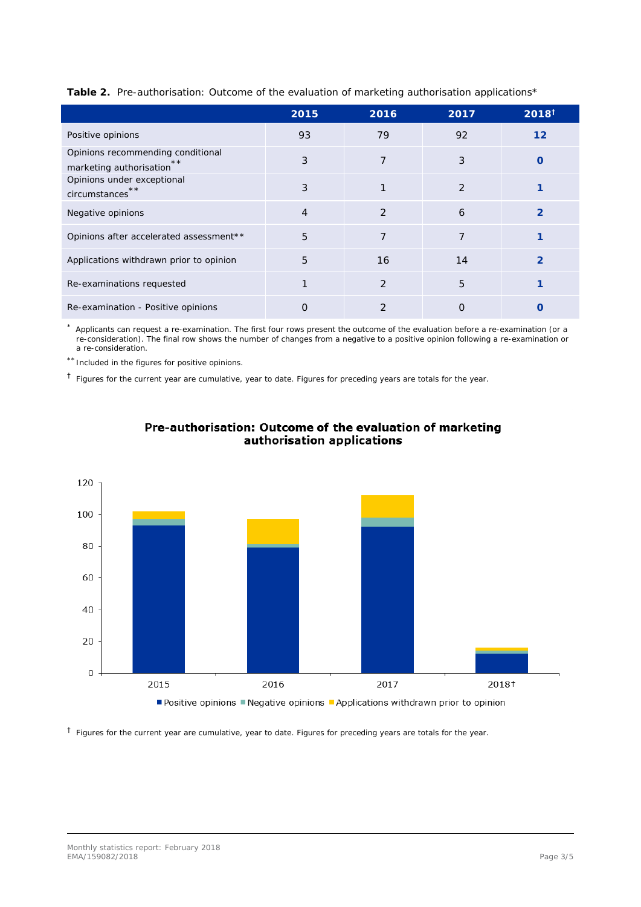|                                                                    | 2015           | 2016           | 2017           | 2018 <sup>†</sup> |
|--------------------------------------------------------------------|----------------|----------------|----------------|-------------------|
| Positive opinions                                                  | 93             | 79             | 92             | $12 \overline{ }$ |
| Opinions recommending conditional<br>**<br>marketing authorisation | 3              | $\overline{7}$ | 3              | O                 |
| Opinions under exceptional<br>**<br>circumstances                  | 3              |                | $\overline{2}$ |                   |
| Negative opinions                                                  | $\overline{4}$ | $\mathcal{P}$  | 6              | $\mathcal{P}$     |
| Opinions after accelerated assessment**                            | 5              | 7              | $\overline{7}$ |                   |
| Applications withdrawn prior to opinion                            | 5              | 16             | 14             | 2                 |
| Re-examinations requested                                          |                | 2              | 5              |                   |
| Re-examination - Positive opinions                                 | Ω              | $\mathcal{P}$  | $\Omega$       |                   |

**Table 2.** Pre-authorisation: Outcome of the evaluation of marketing authorisation applications\*

\* Applicants can request a re-examination. The first four rows present the outcome of the evaluation before a re-examination (or a re-consideration). The final row shows the number of changes from a negative to a positive opinion following a re-examination or a re-consideration.

\*\*Included in the figures for positive opinions.

 $<sup>†</sup>$  Figures for the current year are cumulative, year to date. Figures for preceding years are totals for the year.</sup>



## Pre-authorisation: Outcome of the evaluation of marketing authorisation applications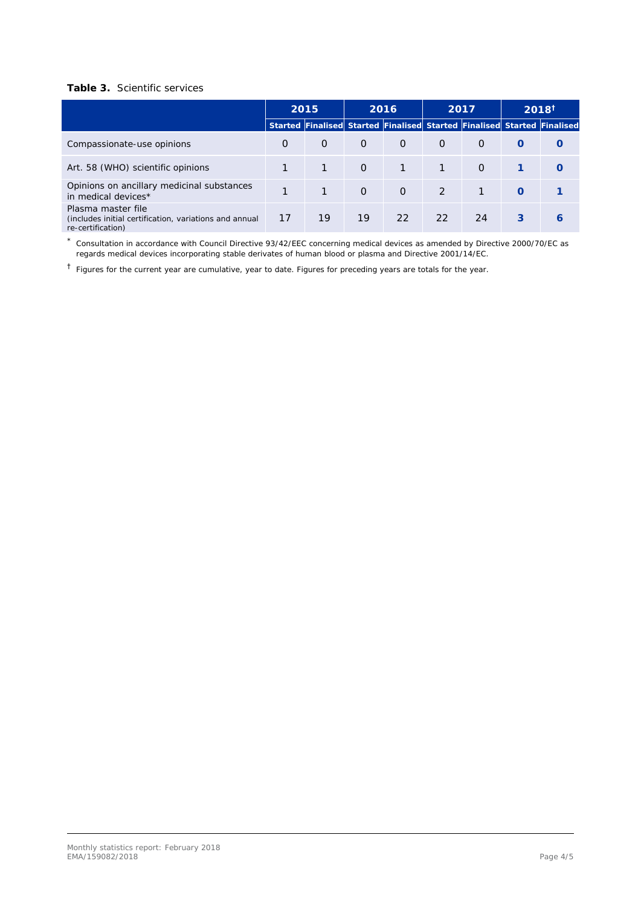## **Table 3.** Scientific services

|                                                                                                   | 2015<br>Started Finalised Started Finalised Started Finalised Started Finalised |          | 2016     |              | 2017           |          | $2018^{\dagger}$ |                  |
|---------------------------------------------------------------------------------------------------|---------------------------------------------------------------------------------|----------|----------|--------------|----------------|----------|------------------|------------------|
|                                                                                                   |                                                                                 |          |          |              |                |          |                  |                  |
| Compassionate-use opinions                                                                        | O                                                                               | $\Omega$ | $\Omega$ | $\Omega$     | $\Omega$       | $\Omega$ | $\Omega$         | $\left( \right)$ |
| Art. 58 (WHO) scientific opinions                                                                 |                                                                                 |          | $\Omega$ | $\mathbf{1}$ |                | $\Omega$ |                  |                  |
| Opinions on ancillary medicinal substances<br>in medical devices*                                 |                                                                                 |          | $\Omega$ | $\Omega$     | $\overline{2}$ |          | $\Omega$         |                  |
| Plasma master file<br>(includes initial certification, variations and annual<br>re-certification) | 17                                                                              | 19       | 19       | 22           | 22             | 24       | 3                | 6                |

\* Consultation in accordance with Council Directive 93/42/EEC concerning medical devices as amended by Directive 2000/70/EC as regards medical devices incorporating stable derivates of human blood or plasma and Directive 2001/14/EC.